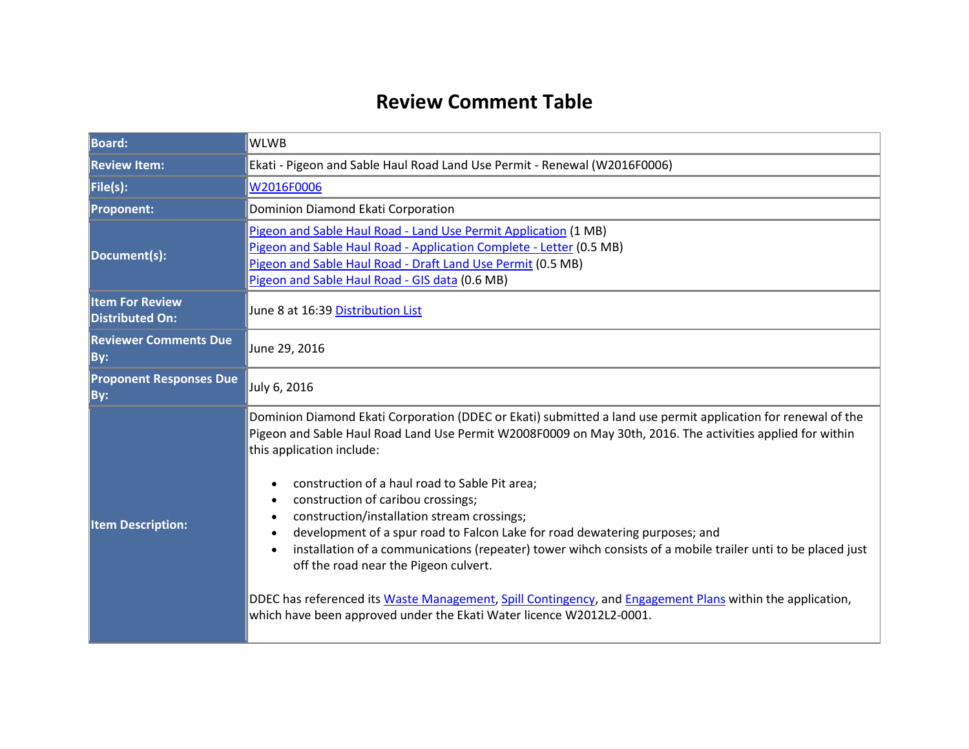## **Review Comment Table**

| <b>Board:</b>                                    | <b>WLWB</b>                                                                                                                                                                                                                                                                                                                                                                                                                                                                                                                                                                                                                                                                                                                                                                                                                                                                     |  |
|--------------------------------------------------|---------------------------------------------------------------------------------------------------------------------------------------------------------------------------------------------------------------------------------------------------------------------------------------------------------------------------------------------------------------------------------------------------------------------------------------------------------------------------------------------------------------------------------------------------------------------------------------------------------------------------------------------------------------------------------------------------------------------------------------------------------------------------------------------------------------------------------------------------------------------------------|--|
| <b>Review Item:</b>                              | Ekati - Pigeon and Sable Haul Road Land Use Permit - Renewal (W2016F0006)                                                                                                                                                                                                                                                                                                                                                                                                                                                                                                                                                                                                                                                                                                                                                                                                       |  |
| File(s):                                         | W2016F0006                                                                                                                                                                                                                                                                                                                                                                                                                                                                                                                                                                                                                                                                                                                                                                                                                                                                      |  |
| <b>Proponent:</b>                                | Dominion Diamond Ekati Corporation                                                                                                                                                                                                                                                                                                                                                                                                                                                                                                                                                                                                                                                                                                                                                                                                                                              |  |
| Document(s):                                     | Pigeon and Sable Haul Road - Land Use Permit Application (1 MB)<br>Pigeon and Sable Haul Road - Application Complete - Letter (0.5 MB)<br>Pigeon and Sable Haul Road - Draft Land Use Permit (0.5 MB)<br>Pigeon and Sable Haul Road - GIS data (0.6 MB)                                                                                                                                                                                                                                                                                                                                                                                                                                                                                                                                                                                                                         |  |
| <b>Item For Review</b><br><b>Distributed On:</b> | June 8 at 16:39 Distribution List                                                                                                                                                                                                                                                                                                                                                                                                                                                                                                                                                                                                                                                                                                                                                                                                                                               |  |
| <b>Reviewer Comments Due</b><br>By:              | June 29, 2016                                                                                                                                                                                                                                                                                                                                                                                                                                                                                                                                                                                                                                                                                                                                                                                                                                                                   |  |
| <b>Proponent Responses Due</b><br>By:            | July 6, 2016                                                                                                                                                                                                                                                                                                                                                                                                                                                                                                                                                                                                                                                                                                                                                                                                                                                                    |  |
| <b>Item Description:</b>                         | Dominion Diamond Ekati Corporation (DDEC or Ekati) submitted a land use permit application for renewal of the<br>Pigeon and Sable Haul Road Land Use Permit W2008F0009 on May 30th, 2016. The activities applied for within<br>this application include:<br>construction of a haul road to Sable Pit area;<br>$\bullet$<br>construction of caribou crossings;<br>$\bullet$<br>construction/installation stream crossings;<br>$\bullet$<br>development of a spur road to Falcon Lake for road dewatering purposes; and<br>$\bullet$<br>installation of a communications (repeater) tower wihch consists of a mobile trailer unti to be placed just<br>off the road near the Pigeon culvert.<br>DDEC has referenced its Waste Management, Spill Contingency, and Engagement Plans within the application,<br>which have been approved under the Ekati Water licence W2012L2-0001. |  |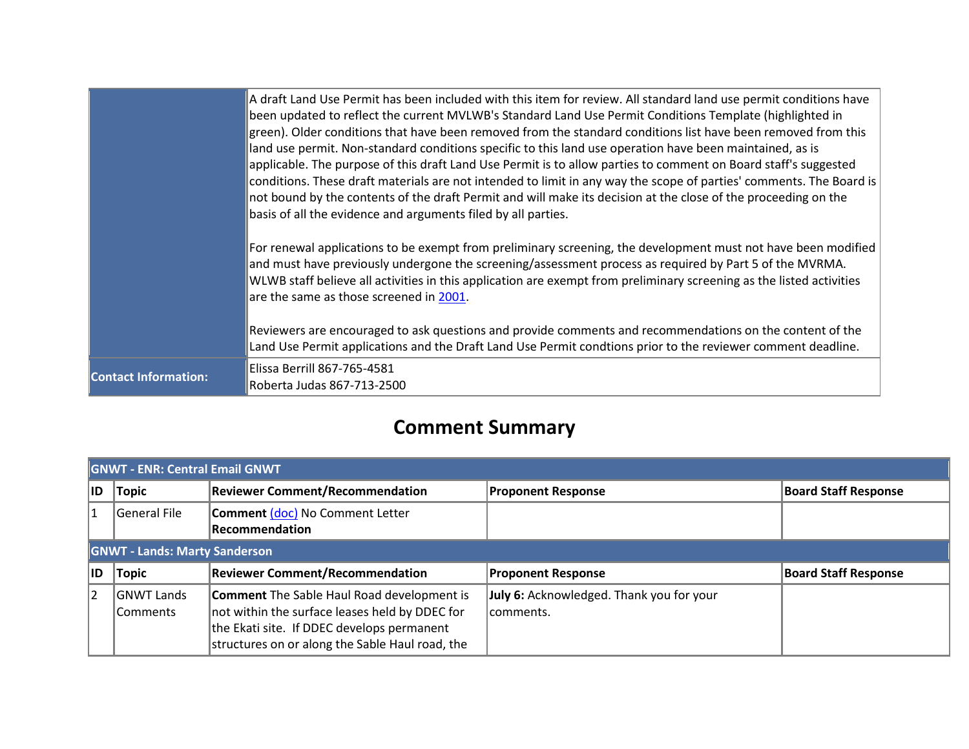|                             | A draft Land Use Permit has been included with this item for review. All standard land use permit conditions have<br>been updated to reflect the current MVLWB's Standard Land Use Permit Conditions Template (highlighted in<br>green). Older conditions that have been removed from the standard conditions list have been removed from this<br>land use permit. Non-standard conditions specific to this land use operation have been maintained, as is<br>applicable. The purpose of this draft Land Use Permit is to allow parties to comment on Board staff's suggested<br>conditions. These draft materials are not intended to limit in any way the scope of parties' comments. The Board is<br>not bound by the contents of the draft Permit and will make its decision at the close of the proceeding on the<br>basis of all the evidence and arguments filed by all parties. |
|-----------------------------|-----------------------------------------------------------------------------------------------------------------------------------------------------------------------------------------------------------------------------------------------------------------------------------------------------------------------------------------------------------------------------------------------------------------------------------------------------------------------------------------------------------------------------------------------------------------------------------------------------------------------------------------------------------------------------------------------------------------------------------------------------------------------------------------------------------------------------------------------------------------------------------------|
|                             | For renewal applications to be exempt from preliminary screening, the development must not have been modified<br>and must have previously undergone the screening/assessment process as required by Part 5 of the MVRMA.<br>WLWB staff believe all activities in this application are exempt from preliminary screening as the listed activities<br>are the same as those screened in 2001.<br>Reviewers are encouraged to ask questions and provide comments and recommendations on the content of the                                                                                                                                                                                                                                                                                                                                                                                 |
|                             | Land Use Permit applications and the Draft Land Use Permit condtions prior to the reviewer comment deadline.                                                                                                                                                                                                                                                                                                                                                                                                                                                                                                                                                                                                                                                                                                                                                                            |
| <b>Contact Information:</b> | Elissa Berrill 867-765-4581<br>Roberta Judas 867-713-2500                                                                                                                                                                                                                                                                                                                                                                                                                                                                                                                                                                                                                                                                                                                                                                                                                               |

# **Comment Summary**

| <b>GNWT - ENR: Central Email GNWT</b> |                                      |                                                                                                     |                                                       |                             |  |
|---------------------------------------|--------------------------------------|-----------------------------------------------------------------------------------------------------|-------------------------------------------------------|-----------------------------|--|
| IID                                   | <b>Topic</b>                         | <b>Reviewer Comment/Recommendation</b>                                                              | <b>Proponent Response</b>                             | <b>Board Staff Response</b> |  |
|                                       | General File                         | Comment (doc) No Comment Letter<br><b>Recommendation</b>                                            |                                                       |                             |  |
|                                       | <b>GNWT - Lands: Marty Sanderson</b> |                                                                                                     |                                                       |                             |  |
| IID                                   | <b>Topic</b>                         | <b>Reviewer Comment/Recommendation</b>                                                              | <b>Proponent Response</b>                             | <b>Board Staff Response</b> |  |
| 2                                     | <b>GNWT Lands</b><br> Comments       | <b>Comment</b> The Sable Haul Road development is<br>not within the surface leases held by DDEC for | July 6: Acknowledged. Thank you for your<br>comments. |                             |  |
|                                       |                                      | the Ekati site. If DDEC develops permanent<br>structures on or along the Sable Haul road, the       |                                                       |                             |  |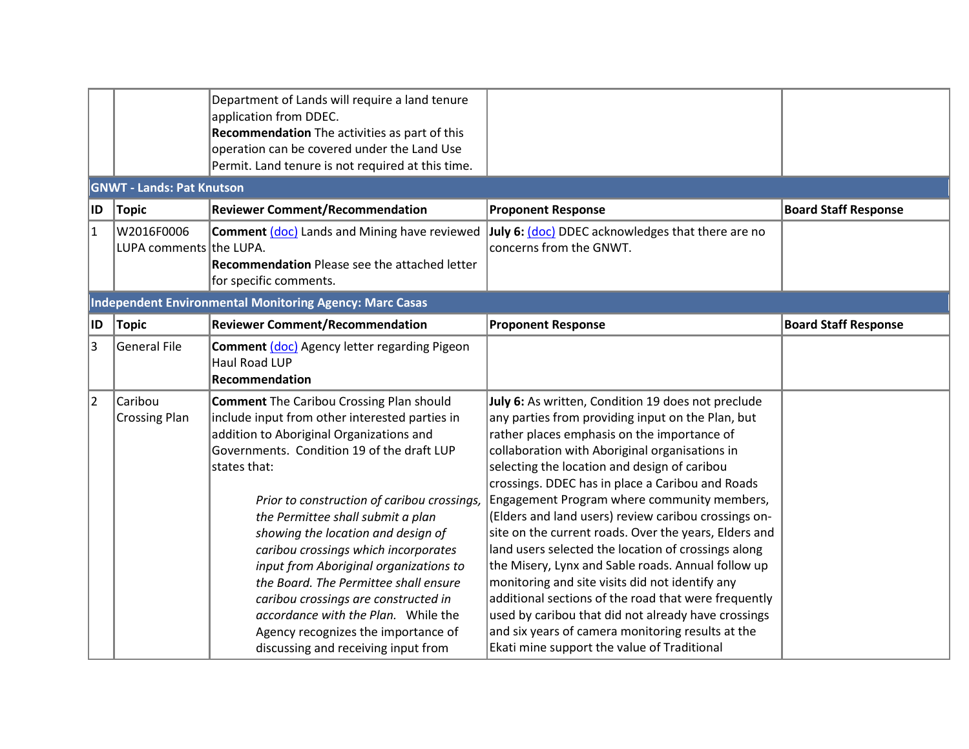|     |                                       | Department of Lands will require a land tenure<br>application from DDEC.<br>Recommendation The activities as part of this<br>operation can be covered under the Land Use<br>Permit. Land tenure is not required at this time.                                                                                                                                                                                                                                                                                                                                                                                                 |                                                                                                                                                                                                                                                                                                                                                                                                                                                                                                                                                                                                                                                                                                                                                                                                                                                                 |                             |
|-----|---------------------------------------|-------------------------------------------------------------------------------------------------------------------------------------------------------------------------------------------------------------------------------------------------------------------------------------------------------------------------------------------------------------------------------------------------------------------------------------------------------------------------------------------------------------------------------------------------------------------------------------------------------------------------------|-----------------------------------------------------------------------------------------------------------------------------------------------------------------------------------------------------------------------------------------------------------------------------------------------------------------------------------------------------------------------------------------------------------------------------------------------------------------------------------------------------------------------------------------------------------------------------------------------------------------------------------------------------------------------------------------------------------------------------------------------------------------------------------------------------------------------------------------------------------------|-----------------------------|
|     | <b>GNWT - Lands: Pat Knutson</b>      |                                                                                                                                                                                                                                                                                                                                                                                                                                                                                                                                                                                                                               |                                                                                                                                                                                                                                                                                                                                                                                                                                                                                                                                                                                                                                                                                                                                                                                                                                                                 |                             |
| ∣ID | Topic                                 | <b>Reviewer Comment/Recommendation</b>                                                                                                                                                                                                                                                                                                                                                                                                                                                                                                                                                                                        | <b>Proponent Response</b>                                                                                                                                                                                                                                                                                                                                                                                                                                                                                                                                                                                                                                                                                                                                                                                                                                       | <b>Board Staff Response</b> |
| 1   | W2016F0006<br>LUPA comments the LUPA. | <b>Comment (doc)</b> Lands and Mining have reviewed<br><b>Recommendation</b> Please see the attached letter<br>for specific comments.                                                                                                                                                                                                                                                                                                                                                                                                                                                                                         | July 6: (doc) DDEC acknowledges that there are no<br>concerns from the GNWT.                                                                                                                                                                                                                                                                                                                                                                                                                                                                                                                                                                                                                                                                                                                                                                                    |                             |
|     |                                       | <b>Independent Environmental Monitoring Agency: Marc Casas</b>                                                                                                                                                                                                                                                                                                                                                                                                                                                                                                                                                                |                                                                                                                                                                                                                                                                                                                                                                                                                                                                                                                                                                                                                                                                                                                                                                                                                                                                 |                             |
| ∣ID | <b>Topic</b>                          | <b>Reviewer Comment/Recommendation</b>                                                                                                                                                                                                                                                                                                                                                                                                                                                                                                                                                                                        | <b>Proponent Response</b>                                                                                                                                                                                                                                                                                                                                                                                                                                                                                                                                                                                                                                                                                                                                                                                                                                       | <b>Board Staff Response</b> |
| 3   | General File                          | <b>Comment (doc)</b> Agency letter regarding Pigeon<br><b>Haul Road LUP</b><br>Recommendation                                                                                                                                                                                                                                                                                                                                                                                                                                                                                                                                 |                                                                                                                                                                                                                                                                                                                                                                                                                                                                                                                                                                                                                                                                                                                                                                                                                                                                 |                             |
| 2   | Caribou<br><b>Crossing Plan</b>       | <b>Comment</b> The Caribou Crossing Plan should<br>include input from other interested parties in<br>addition to Aboriginal Organizations and<br>Governments. Condition 19 of the draft LUP<br>states that:<br>Prior to construction of caribou crossings,<br>the Permittee shall submit a plan<br>showing the location and design of<br>caribou crossings which incorporates<br>input from Aboriginal organizations to<br>the Board. The Permittee shall ensure<br>caribou crossings are constructed in<br>accordance with the Plan. While the<br>Agency recognizes the importance of<br>discussing and receiving input from | July 6: As written, Condition 19 does not preclude<br>any parties from providing input on the Plan, but<br>rather places emphasis on the importance of<br>collaboration with Aboriginal organisations in<br>selecting the location and design of caribou<br>crossings. DDEC has in place a Caribou and Roads<br>Engagement Program where community members,<br>(Elders and land users) review caribou crossings on-<br>site on the current roads. Over the years, Elders and<br>land users selected the location of crossings along<br>the Misery, Lynx and Sable roads. Annual follow up<br>monitoring and site visits did not identify any<br>additional sections of the road that were frequently<br>used by caribou that did not already have crossings<br>and six years of camera monitoring results at the<br>Ekati mine support the value of Traditional |                             |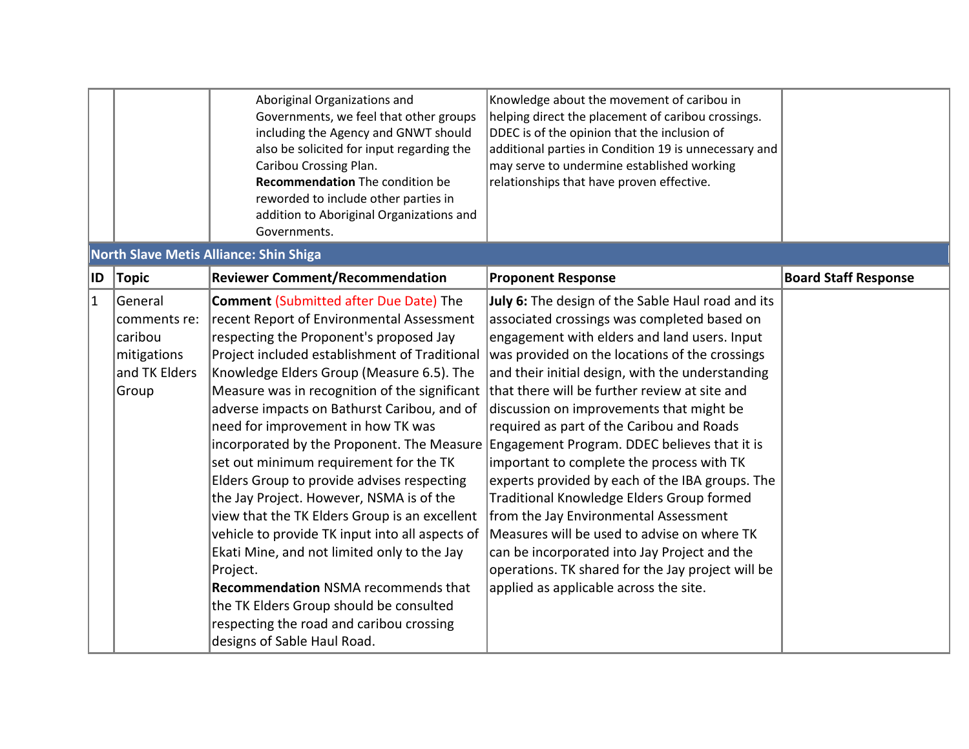|                |                                                                             | Aboriginal Organizations and<br>Governments, we feel that other groups<br>including the Agency and GNWT should<br>also be solicited for input regarding the<br>Caribou Crossing Plan.<br>Recommendation The condition be<br>reworded to include other parties in<br>addition to Aboriginal Organizations and<br>Governments.                                                                                                                                                                                                                                                                                                                                                                                                                                                                                                                                                                   | Knowledge about the movement of caribou in<br>helping direct the placement of caribou crossings.<br>DDEC is of the opinion that the inclusion of<br>additional parties in Condition 19 is unnecessary and<br>may serve to undermine established working<br>relationships that have proven effective.                                                                                                                                                                                                                                                                                                                                                                                                                                                                                                                                 |                             |
|----------------|-----------------------------------------------------------------------------|------------------------------------------------------------------------------------------------------------------------------------------------------------------------------------------------------------------------------------------------------------------------------------------------------------------------------------------------------------------------------------------------------------------------------------------------------------------------------------------------------------------------------------------------------------------------------------------------------------------------------------------------------------------------------------------------------------------------------------------------------------------------------------------------------------------------------------------------------------------------------------------------|--------------------------------------------------------------------------------------------------------------------------------------------------------------------------------------------------------------------------------------------------------------------------------------------------------------------------------------------------------------------------------------------------------------------------------------------------------------------------------------------------------------------------------------------------------------------------------------------------------------------------------------------------------------------------------------------------------------------------------------------------------------------------------------------------------------------------------------|-----------------------------|
|                |                                                                             | <b>North Slave Metis Alliance: Shin Shiga</b>                                                                                                                                                                                                                                                                                                                                                                                                                                                                                                                                                                                                                                                                                                                                                                                                                                                  |                                                                                                                                                                                                                                                                                                                                                                                                                                                                                                                                                                                                                                                                                                                                                                                                                                      |                             |
| ID.            | <b>Topic</b>                                                                | <b>Reviewer Comment/Recommendation</b>                                                                                                                                                                                                                                                                                                                                                                                                                                                                                                                                                                                                                                                                                                                                                                                                                                                         | <b>Proponent Response</b>                                                                                                                                                                                                                                                                                                                                                                                                                                                                                                                                                                                                                                                                                                                                                                                                            | <b>Board Staff Response</b> |
| $\overline{1}$ | General<br>comments re:<br>caribou<br>mitigations<br>and TK Elders<br>Group | <b>Comment (Submitted after Due Date) The</b><br>recent Report of Environmental Assessment<br>respecting the Proponent's proposed Jay<br>Project included establishment of Traditional<br>Knowledge Elders Group (Measure 6.5). The<br>Measure was in recognition of the significant<br>adverse impacts on Bathurst Caribou, and of<br>need for improvement in how TK was<br>incorporated by the Proponent. The Measure<br>set out minimum requirement for the TK<br>Elders Group to provide advises respecting<br>the Jay Project. However, NSMA is of the<br>view that the TK Elders Group is an excellent<br>vehicle to provide TK input into all aspects of<br>Ekati Mine, and not limited only to the Jay<br>Project.<br><b>Recommendation NSMA recommends that</b><br>the TK Elders Group should be consulted<br>respecting the road and caribou crossing<br>designs of Sable Haul Road. | July 6: The design of the Sable Haul road and its<br>associated crossings was completed based on<br>engagement with elders and land users. Input<br>was provided on the locations of the crossings<br>and their initial design, with the understanding<br>that there will be further review at site and<br>discussion on improvements that might be<br>required as part of the Caribou and Roads<br>Engagement Program. DDEC believes that it is<br>important to complete the process with TK<br>experts provided by each of the IBA groups. The<br>Traditional Knowledge Elders Group formed<br>from the Jay Environmental Assessment<br>Measures will be used to advise on where TK<br>can be incorporated into Jay Project and the<br>operations. TK shared for the Jay project will be<br>applied as applicable across the site. |                             |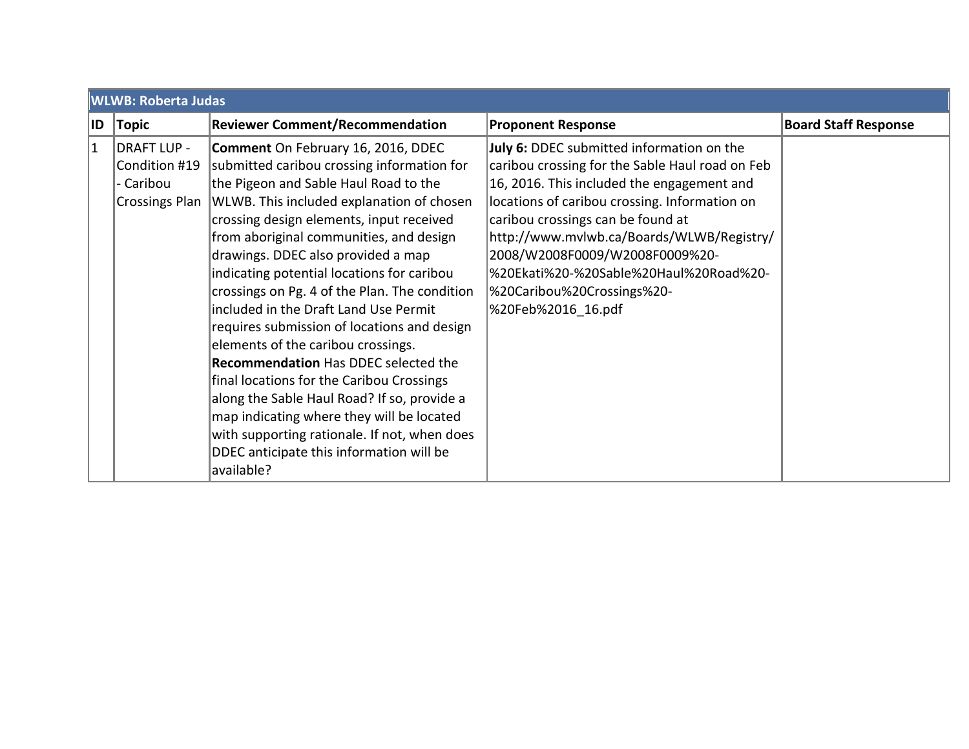|             | <b>WLWB: Roberta Judas</b>                                         |                                                                                                                                                                                                                                                                                                                                                                                                                                                                                                                                                                                                                                                                                                                                                                                                                                    |                                                                                                                                                                                                                                                                                                                                                                                                               |                             |
|-------------|--------------------------------------------------------------------|------------------------------------------------------------------------------------------------------------------------------------------------------------------------------------------------------------------------------------------------------------------------------------------------------------------------------------------------------------------------------------------------------------------------------------------------------------------------------------------------------------------------------------------------------------------------------------------------------------------------------------------------------------------------------------------------------------------------------------------------------------------------------------------------------------------------------------|---------------------------------------------------------------------------------------------------------------------------------------------------------------------------------------------------------------------------------------------------------------------------------------------------------------------------------------------------------------------------------------------------------------|-----------------------------|
| ID          | Topic                                                              | <b>Reviewer Comment/Recommendation</b>                                                                                                                                                                                                                                                                                                                                                                                                                                                                                                                                                                                                                                                                                                                                                                                             | <b>Proponent Response</b>                                                                                                                                                                                                                                                                                                                                                                                     | <b>Board Staff Response</b> |
| $ 1\rangle$ | DRAFT LUP -<br>Condition #19<br>- Caribou<br><b>Crossings Plan</b> | Comment On February 16, 2016, DDEC<br>submitted caribou crossing information for<br>the Pigeon and Sable Haul Road to the<br>WLWB. This included explanation of chosen<br>crossing design elements, input received<br>from aboriginal communities, and design<br>drawings. DDEC also provided a map<br>indicating potential locations for caribou<br>crossings on Pg. 4 of the Plan. The condition<br>included in the Draft Land Use Permit<br>requires submission of locations and design<br>elements of the caribou crossings.<br><b>Recommendation Has DDEC selected the</b><br>final locations for the Caribou Crossings<br>along the Sable Haul Road? If so, provide a<br>map indicating where they will be located<br>with supporting rationale. If not, when does<br>DDEC anticipate this information will be<br>available? | July 6: DDEC submitted information on the<br>caribou crossing for the Sable Haul road on Feb<br>16, 2016. This included the engagement and<br>locations of caribou crossing. Information on<br>caribou crossings can be found at<br>http://www.mvlwb.ca/Boards/WLWB/Registry/<br>2008/W2008F0009/W2008F0009%20-<br>%20Ekati%20-%20Sable%20Haul%20Road%20-<br>%20Caribou%20Crossings%20-<br>%20Feb%2016 16.pdf |                             |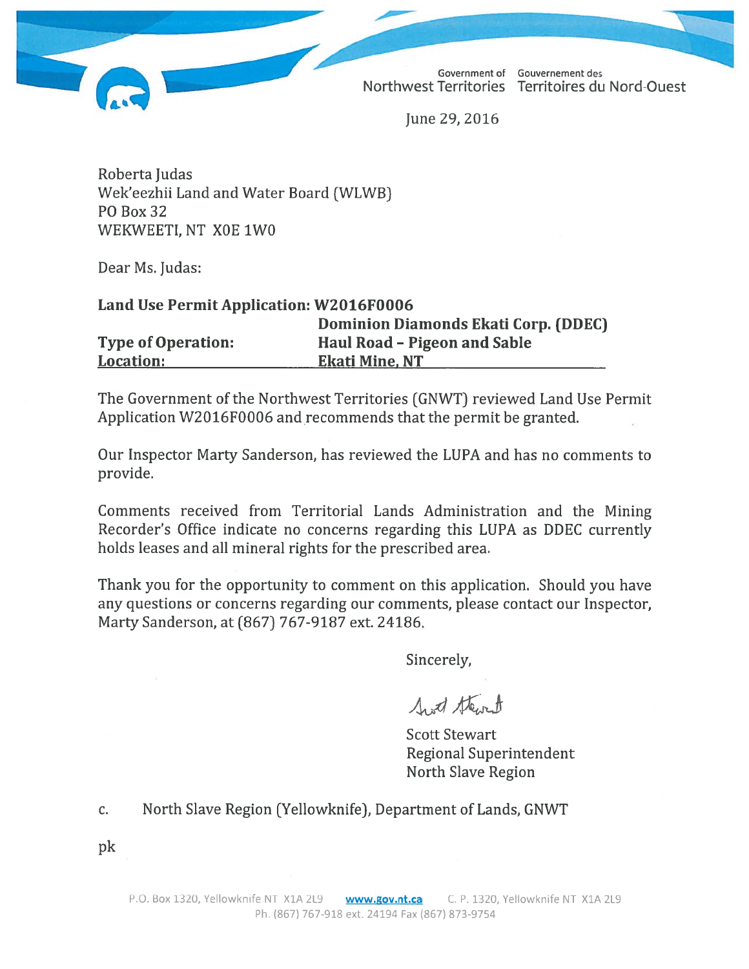Northwest Territories Territoires du Nord-Ouest

Government of Gouvernement des

June 29, 2016

Roberta Judas Wek'eezhii Land and Water Board (WLWB) **PO Box 32** WEKWEETI, NT X0E 1W0

Dear Ms. Judas:

## Land Use Permit Application: W2016F0006

|                           | <b>Dominion Diamonds Ekati Corp. (DDEC)</b> |
|---------------------------|---------------------------------------------|
| <b>Type of Operation:</b> | Haul Road – Pigeon and Sable                |
| <b>Location:</b>          | <b>Ekati Mine, NT</b>                       |

The Government of the Northwest Territories (GNWT) reviewed Land Use Permit Application W2016F0006 and recommends that the permit be granted.

Our Inspector Marty Sanderson, has reviewed the LUPA and has no comments to provide.

Comments received from Territorial Lands Administration and the Mining Recorder's Office indicate no concerns regarding this LUPA as DDEC currently holds leases and all mineral rights for the prescribed area.

Thank you for the opportunity to comment on this application. Should you have any questions or concerns regarding our comments, please contact our Inspector, Marty Sanderson, at (867) 767-9187 ext. 24186.

Sincerely,

Sent thent

**Scott Stewart Regional Superintendent** North Slave Region

#### North Slave Region (Yellowknife), Department of Lands, GNWT c.

pk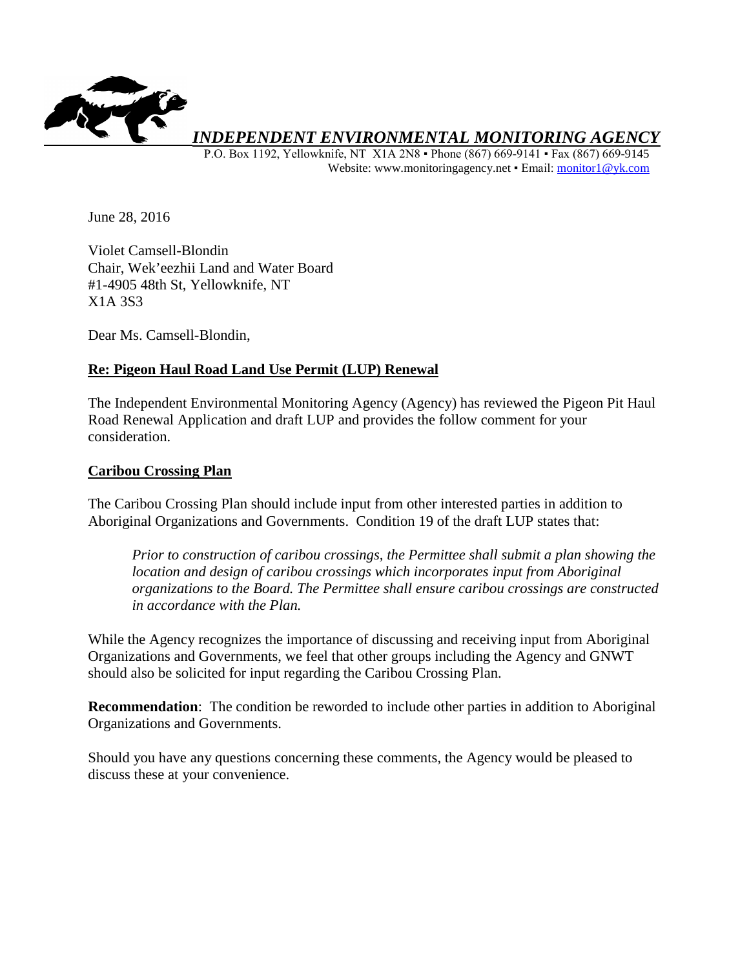

*INDEPENDENT ENVIRONMENTAL MONITORING AGENCY* 

 P.O. Box 1192, Yellowknife, NT X1A 2N8 ▪ Phone (867) 669-9141 ▪ Fax (867) 669-9145 Website: www.monitoringagency.net · Email: monitor1@yk.com

June 28, 2016

Violet Camsell-Blondin Chair, Wek'eezhii Land and Water Board #1-4905 48th St, Yellowknife, NT X1A 3S3

Dear Ms. Camsell-Blondin,

### **Re: Pigeon Haul Road Land Use Permit (LUP) Renewal**

The Independent Environmental Monitoring Agency (Agency) has reviewed the Pigeon Pit Haul Road Renewal Application and draft LUP and provides the follow comment for your consideration.

### **Caribou Crossing Plan**

The Caribou Crossing Plan should include input from other interested parties in addition to Aboriginal Organizations and Governments. Condition 19 of the draft LUP states that:

*Prior to construction of caribou crossings, the Permittee shall submit a plan showing the location and design of caribou crossings which incorporates input from Aboriginal organizations to the Board. The Permittee shall ensure caribou crossings are constructed in accordance with the Plan.*

While the Agency recognizes the importance of discussing and receiving input from Aboriginal Organizations and Governments, we feel that other groups including the Agency and GNWT should also be solicited for input regarding the Caribou Crossing Plan.

**Recommendation**: The condition be reworded to include other parties in addition to Aboriginal Organizations and Governments.

Should you have any questions concerning these comments, the Agency would be pleased to discuss these at your convenience.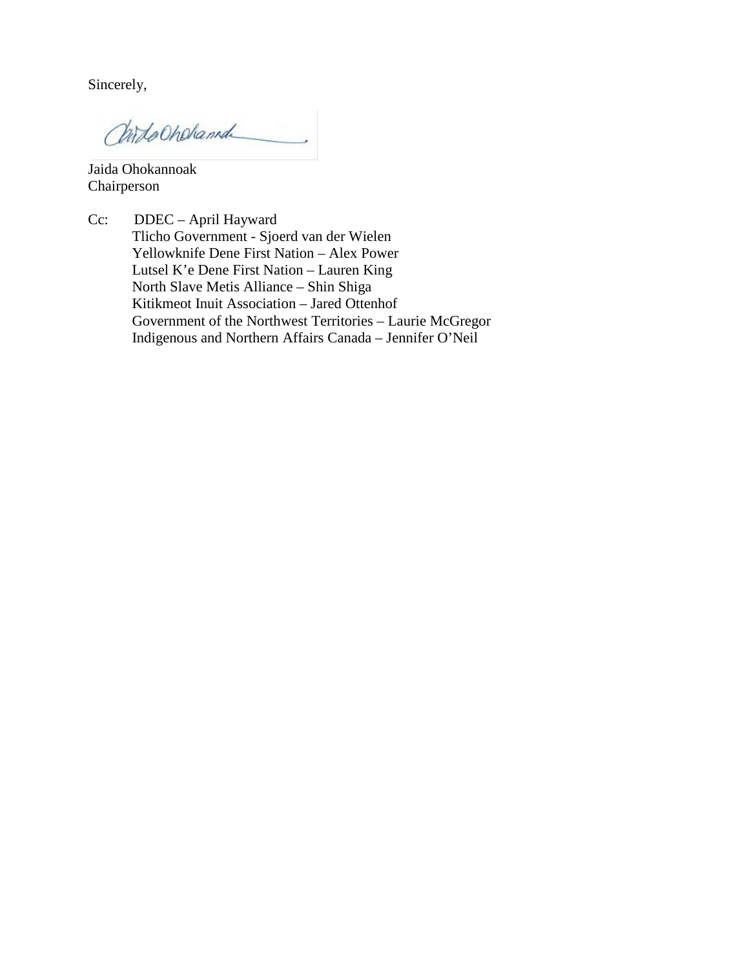Sincerely,

Childochehamd

Jaida Ohokannoak Chairperson

Cc: DDEC – April Hayward Tlicho Government - Sjoerd van der Wielen Yellowknife Dene First Nation – Alex Power Lutsel K'e Dene First Nation – Lauren King North Slave Metis Alliance – Shin Shiga Kitikmeot Inuit Association – Jared Ottenhof Government of the Northwest Territories – Laurie McGregor Indigenous and Northern Affairs Canada – Jennifer O'Neil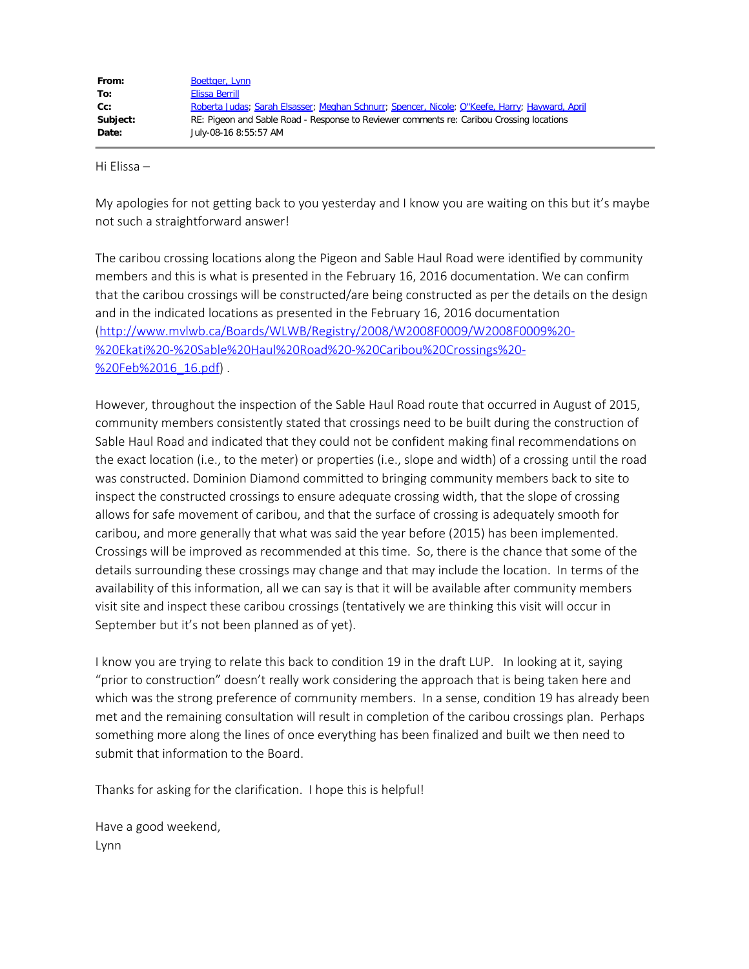| From:    | <b>Boettger, Lynn</b>                                                                          |
|----------|------------------------------------------------------------------------------------------------|
| To:      | Elissa Berrill                                                                                 |
| cc:      | Roberta Judas; Sarah Elsasser; Meghan Schnurr; Spencer, Nicole; O"Keefe, Harry; Hayward, April |
| Subject: | RE: Pigeon and Sable Road - Response to Reviewer comments re: Caribou Crossing locations       |
| Date:    | July-08-16 8:55:57 AM                                                                          |

Hi Elissa –

My apologies for not getting back to you yesterday and I know you are waiting on this but it's maybe not such a straightforward answer!

The caribou crossing locations along the Pigeon and Sable Haul Road were identified by community members and this is what is presented in the February 16, 2016 documentation. We can confirm that the caribou crossings will be constructed/are being constructed as per the details on the design and in the indicated locations as presented in the February 16, 2016 documentation [\(http://www.mvlwb.ca/Boards/WLWB/Registry/2008/W2008F0009/W2008F0009%20-](http://www.mvlwb.ca/Boards/WLWB/Registry/2008/W2008F0009/W2008F0009%20-%20Ekati%20-%20Sable%20Haul%20Road%20-%20Caribou%20Crossings%20-%20Feb%2016_16.pdf) [%20Ekati%20-%20Sable%20Haul%20Road%20-%20Caribou%20Crossings%20-](http://www.mvlwb.ca/Boards/WLWB/Registry/2008/W2008F0009/W2008F0009%20-%20Ekati%20-%20Sable%20Haul%20Road%20-%20Caribou%20Crossings%20-%20Feb%2016_16.pdf) [%20Feb%2016\\_16.pdf](http://www.mvlwb.ca/Boards/WLWB/Registry/2008/W2008F0009/W2008F0009%20-%20Ekati%20-%20Sable%20Haul%20Road%20-%20Caribou%20Crossings%20-%20Feb%2016_16.pdf)).

However, throughout the inspection of the Sable Haul Road route that occurred in August of 2015, community members consistently stated that crossings need to be built during the construction of Sable Haul Road and indicated that they could not be confident making final recommendations on the exact location (i.e., to the meter) or properties (i.e., slope and width) of a crossing until the road was constructed. Dominion Diamond committed to bringing community members back to site to inspect the constructed crossings to ensure adequate crossing width, that the slope of crossing allows for safe movement of caribou, and that the surface of crossing is adequately smooth for caribou, and more generally that what was said the year before (2015) has been implemented. Crossings will be improved as recommended at this time. So, there is the chance that some of the details surrounding these crossings may change and that may include the location. In terms of the availability of this information, all we can say is that it will be available after community members visit site and inspect these caribou crossings (tentatively we are thinking this visit will occur in September but it's not been planned as of yet).

I know you are trying to relate this back to condition 19 in the draft LUP. In looking at it, saying "prior to construction" doesn't really work considering the approach that is being taken here and which was the strong preference of community members. In a sense, condition 19 has already been met and the remaining consultation will result in completion of the caribou crossings plan. Perhaps something more along the lines of once everything has been finalized and built we then need to submit that information to the Board.

Thanks for asking for the clarification. I hope this is helpful!

Have a good weekend, Lynn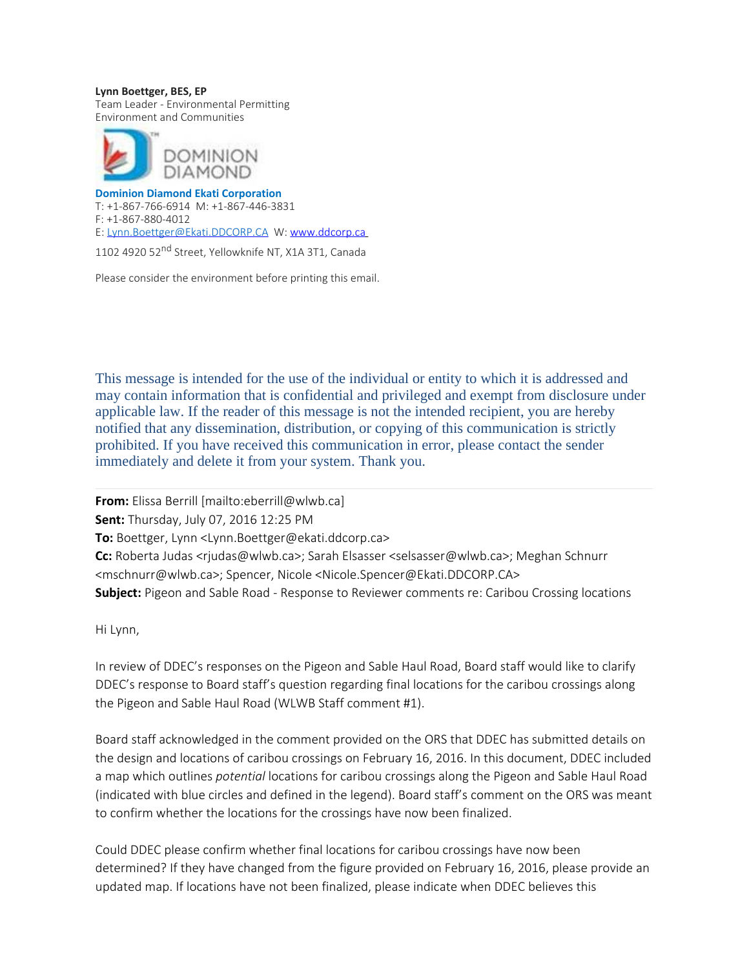**Lynn Boettger, BES, EP** Team Leader - Environmental Permitting Environment and Communities



**Dominion Diamond Ekati Corporation** T: +1-867-766-6914 M: +1-867-446-3831 F: +1-867-880-4012 E: [Lynn.Boettger@Ekati.DDCORP.CA](mailto:Lynn.Boettger@Ekati.DDCORP.CA) W: [www.ddcorp.ca](http://www.ddcorp.ca/)

1102 4920 52<sup>nd</sup> Street, Yellowknife NT, X1A 3T1, Canada

Please consider the environment before printing this email.

This message is intended for the use of the individual or entity to which it is addressed and may contain information that is confidential and privileged and exempt from disclosure under applicable law. If the reader of this message is not the intended recipient, you are hereby notified that any dissemination, distribution, or copying of this communication is strictly prohibited. If you have received this communication in error, please contact the sender immediately and delete it from your system. Thank you.

**From:** Elissa Berrill [mailto:eberrill@wlwb.ca] **Sent:** Thursday, July 07, 2016 12:25 PM **To:** Boettger, Lynn <Lynn.Boettger@ekati.ddcorp.ca> **Cc:** Roberta Judas <rjudas@wlwb.ca>; Sarah Elsasser <selsasser@wlwb.ca>; Meghan Schnurr <mschnurr@wlwb.ca>; Spencer, Nicole <Nicole.Spencer@Ekati.DDCORP.CA> **Subject:** Pigeon and Sable Road - Response to Reviewer comments re: Caribou Crossing locations

Hi Lynn,

In review of DDEC's responses on the Pigeon and Sable Haul Road, Board staff would like to clarify DDEC's response to Board staff's question regarding final locations for the caribou crossings along the Pigeon and Sable Haul Road (WLWB Staff comment #1).

Board staff acknowledged in the comment provided on the ORS that DDEC has submitted details on the design and locations of caribou crossings on February 16, 2016. In this document, DDEC included a map which outlines *potential* locations for caribou crossings along the Pigeon and Sable Haul Road (indicated with blue circles and defined in the legend). Board staff's comment on the ORS was meant to confirm whether the locations for the crossings have now been finalized.

Could DDEC please confirm whether final locations for caribou crossings have now been determined? If they have changed from the figure provided on February 16, 2016, please provide an updated map. If locations have not been finalized, please indicate when DDEC believes this